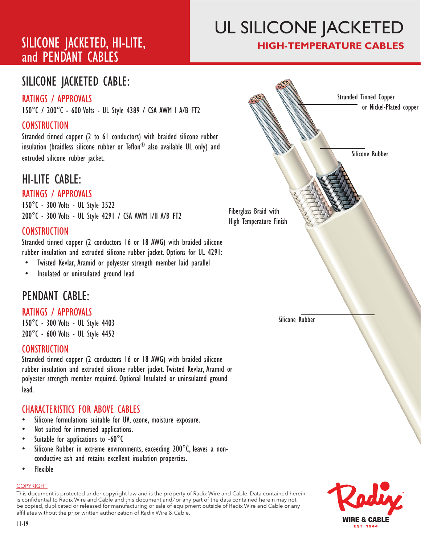# SILICONE JACKETED, HI-LITE, and PENDANT CABLES

# UL SILICONE JACKETED **HIGH-TEMPERATURE CABLES**

# SILICONE JACKETED CABLE:

## RATINGS / APPROVALS

150°C / 200°C - 600 Volts - UL Style 4389 / CSA AWM I A/B FT2

## CONSTRUCTION

Stranded tinned copper (2 to 61 conductors) with braided silicone rubber insulation (braidless silicone rubber or Teflon® also available UL only) and extruded silicone rubber jacket.

# HI-LITE CABLE:

#### RATINGS / APPROVALS

150°C - 300 Volts - UL Style 3522 200°C - 300 Volts - UL Style 4291 / CSA AWM I/II A/B FT2

### **CONSTRUCTION**

Stranded tinned copper (2 conductors 16 or 18 AWG) with braided silicone rubber insulation and extruded silicone rubber jacket. Options for UL 4291:

- Twisted Kevlar, Aramid or polyester strength member laid parallel
- Insulated or uninsulated ground lead

# PENDANT CABLE:

#### RATINGS / APPROVALS

150°C - 300 Volts - UL Style 4403 200°C - 600 Volts - UL Style 4452

#### **CONSTRUCTION**

Stranded tinned copper (2 conductors 16 or 18 AWG) with braided silicone rubber insulation and extruded silicone rubber jacket. Twisted Kevlar, Aramid or polyester strength member required. Optional Insulated or uninsulated ground lead.

#### CHARACTERISTICS FOR ABOVE CABLES

- Silicone formulations suitable for UV, ozone, moisture exposure.
- Not suited for immersed applications.
- Suitable for applications to  $-60^{\circ}$ C
- Silicone Rubber in extreme environments, exceeding 200°C, leaves a nonconductive ash and retains excellent insulation properties.
- Flexible

#### COPYRIGHT

This document is protected under copyright law and is the property of Radix Wire and Cable. Data contained herein is confidential to Radix Wire and Cable and this document and / or any part of the data contained herein may not be copied, duplicated or released for manufacturing or sale of equipment outside of Radix Wire and Cable or any affiliates without the prior written authorization of Radix Wire & Cable.